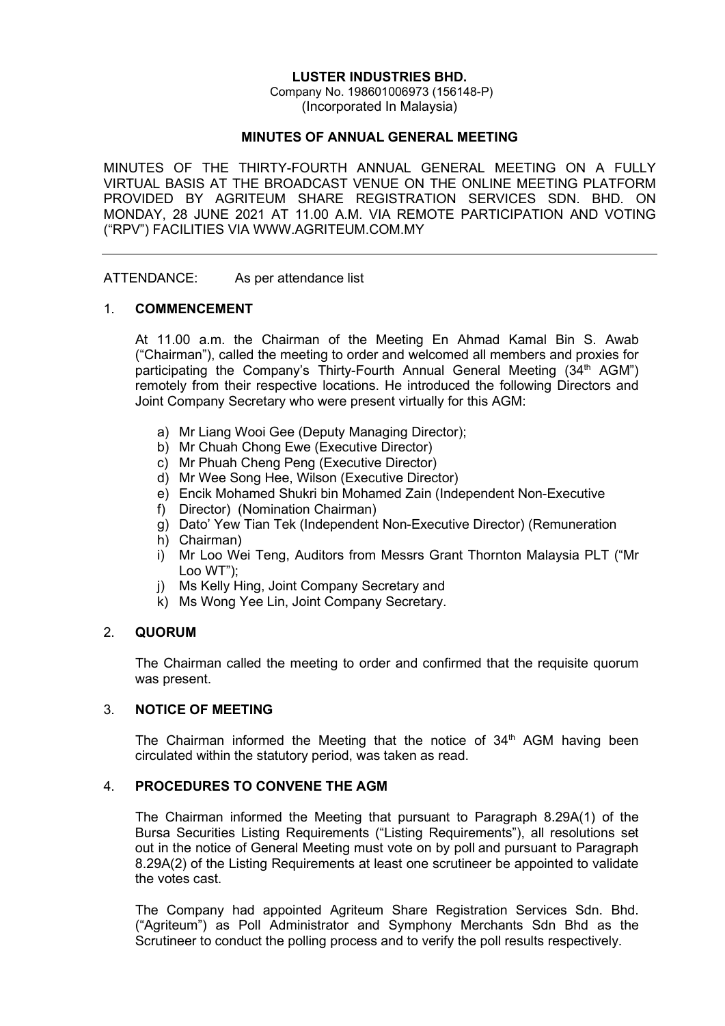### LUSTER INDUSTRIES BHD.

Company No. 198601006973 (156148-P) (Incorporated In Malaysia)

#### MINUTES OF ANNUAL GENERAL MEETING

MINUTES OF THE THIRTY-FOURTH ANNUAL GENERAL MEETING ON A FULLY VIRTUAL BASIS AT THE BROADCAST VENUE ON THE ONLINE MEETING PLATFORM PROVIDED BY AGRITEUM SHARE REGISTRATION SERVICES SDN. BHD. ON MONDAY, 28 JUNE 2021 AT 11.00 A.M. VIA REMOTE PARTICIPATION AND VOTING ("RPV") FACILITIES VIA WWW.AGRITEUM.COM.MY

ATTENDANCE: As per attendance list

### 1. COMMENCEMENT

 At 11.00 a.m. the Chairman of the Meeting En Ahmad Kamal Bin S. Awab ("Chairman"), called the meeting to order and welcomed all members and proxies for participating the Company's Thirty-Fourth Annual General Meeting (34<sup>th</sup> AGM") remotely from their respective locations. He introduced the following Directors and Joint Company Secretary who were present virtually for this AGM:

- a) Mr Liang Wooi Gee (Deputy Managing Director);
- b) Mr Chuah Chong Ewe (Executive Director)
- c) Mr Phuah Cheng Peng (Executive Director)
- d) Mr Wee Song Hee, Wilson (Executive Director)
- e) Encik Mohamed Shukri bin Mohamed Zain (Independent Non-Executive
- f) Director) (Nomination Chairman)
- g) Dato' Yew Tian Tek (Independent Non-Executive Director) (Remuneration
- h) Chairman)
- i) Mr Loo Wei Teng, Auditors from Messrs Grant Thornton Malaysia PLT ("Mr Loo WT");
- j) Ms Kelly Hing, Joint Company Secretary and
- k) Ms Wong Yee Lin, Joint Company Secretary.

# 2. QUORUM

 The Chairman called the meeting to order and confirmed that the requisite quorum was present.

# 3. NOTICE OF MEETING

The Chairman informed the Meeting that the notice of  $34<sup>th</sup>$  AGM having been circulated within the statutory period, was taken as read.

#### 4. PROCEDURES TO CONVENE THE AGM

 The Chairman informed the Meeting that pursuant to Paragraph 8.29A(1) of the Bursa Securities Listing Requirements ("Listing Requirements"), all resolutions set out in the notice of General Meeting must vote on by poll and pursuant to Paragraph 8.29A(2) of the Listing Requirements at least one scrutineer be appointed to validate the votes cast.

 The Company had appointed Agriteum Share Registration Services Sdn. Bhd. ("Agriteum") as Poll Administrator and Symphony Merchants Sdn Bhd as the Scrutineer to conduct the polling process and to verify the poll results respectively.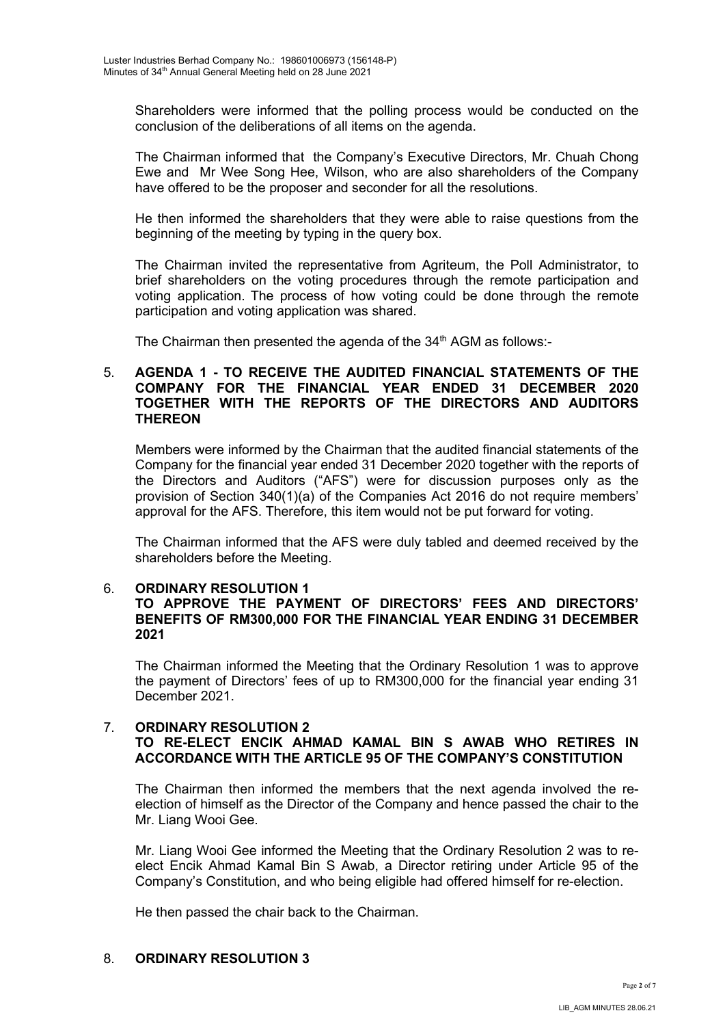Shareholders were informed that the polling process would be conducted on the conclusion of the deliberations of all items on the agenda.

 The Chairman informed that the Company's Executive Directors, Mr. Chuah Chong Ewe and Mr Wee Song Hee, Wilson, who are also shareholders of the Company have offered to be the proposer and seconder for all the resolutions.

He then informed the shareholders that they were able to raise questions from the beginning of the meeting by typing in the query box.

The Chairman invited the representative from Agriteum, the Poll Administrator, to brief shareholders on the voting procedures through the remote participation and voting application. The process of how voting could be done through the remote participation and voting application was shared.

The Chairman then presented the agenda of the 34<sup>th</sup> AGM as follows:-

### 5. AGENDA 1 - TO RECEIVE THE AUDITED FINANCIAL STATEMENTS OF THE COMPANY FOR THE FINANCIAL YEAR ENDED 31 DECEMBER 2020 TOGETHER WITH THE REPORTS OF THE DIRECTORS AND AUDITORS **THEREON**

 Members were informed by the Chairman that the audited financial statements of the Company for the financial year ended 31 December 2020 together with the reports of the Directors and Auditors ("AFS") were for discussion purposes only as the provision of Section 340(1)(a) of the Companies Act 2016 do not require members' approval for the AFS. Therefore, this item would not be put forward for voting.

 The Chairman informed that the AFS were duly tabled and deemed received by the shareholders before the Meeting.

#### 6. ORDINARY RESOLUTION 1

# TO APPROVE THE PAYMENT OF DIRECTORS' FEES AND DIRECTORS' BENEFITS OF RM300,000 FOR THE FINANCIAL YEAR ENDING 31 DECEMBER 2021

 The Chairman informed the Meeting that the Ordinary Resolution 1 was to approve the payment of Directors' fees of up to RM300,000 for the financial year ending 31 December 2021.

# 7. ORDINARY RESOLUTION 2 TO RE-ELECT ENCIK AHMAD KAMAL BIN S AWAB WHO RETIRES IN ACCORDANCE WITH THE ARTICLE 95 OF THE COMPANY'S CONSTITUTION

 The Chairman then informed the members that the next agenda involved the reelection of himself as the Director of the Company and hence passed the chair to the Mr. Liang Wooi Gee.

 Mr. Liang Wooi Gee informed the Meeting that the Ordinary Resolution 2 was to reelect Encik Ahmad Kamal Bin S Awab, a Director retiring under Article 95 of the Company's Constitution, and who being eligible had offered himself for re-election.

He then passed the chair back to the Chairman.

# 8. ORDINARY RESOLUTION 3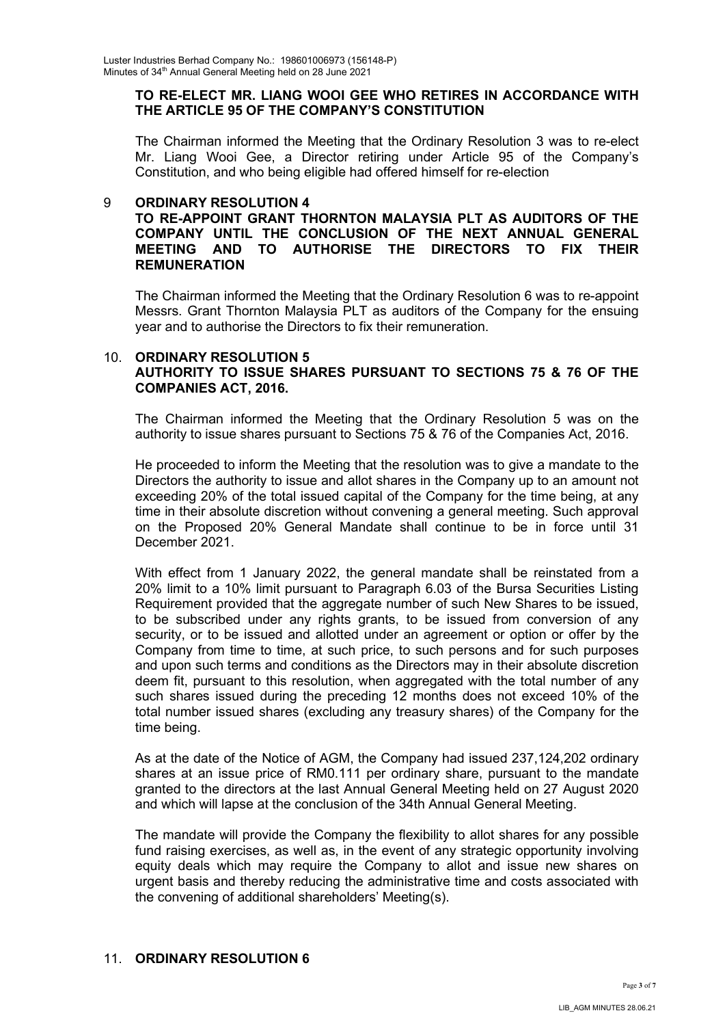### TO RE-ELECT MR. LIANG WOOI GEE WHO RETIRES IN ACCORDANCE WITH THE ARTICLE 95 OF THE COMPANY'S CONSTITUTION

 The Chairman informed the Meeting that the Ordinary Resolution 3 was to re-elect Mr. Liang Wooi Gee, a Director retiring under Article 95 of the Company's Constitution, and who being eligible had offered himself for re-election

### 9 ORDINARY RESOLUTION 4

### TO RE-APPOINT GRANT THORNTON MALAYSIA PLT AS AUDITORS OF THE COMPANY UNTIL THE CONCLUSION OF THE NEXT ANNUAL GENERAL MEETING AND TO AUTHORISE THE DIRECTORS TO FIX THEIR REMUNERATION

 The Chairman informed the Meeting that the Ordinary Resolution 6 was to re-appoint Messrs. Grant Thornton Malaysia PLT as auditors of the Company for the ensuing year and to authorise the Directors to fix their remuneration.

### 10. ORDINARY RESOLUTION 5 AUTHORITY TO ISSUE SHARES PURSUANT TO SECTIONS 75 & 76 OF THE COMPANIES ACT, 2016.

The Chairman informed the Meeting that the Ordinary Resolution 5 was on the authority to issue shares pursuant to Sections 75 & 76 of the Companies Act, 2016.

He proceeded to inform the Meeting that the resolution was to give a mandate to the Directors the authority to issue and allot shares in the Company up to an amount not exceeding 20% of the total issued capital of the Company for the time being, at any time in their absolute discretion without convening a general meeting. Such approval on the Proposed 20% General Mandate shall continue to be in force until 31 December 2021.

With effect from 1 January 2022, the general mandate shall be reinstated from a 20% limit to a 10% limit pursuant to Paragraph 6.03 of the Bursa Securities Listing Requirement provided that the aggregate number of such New Shares to be issued, to be subscribed under any rights grants, to be issued from conversion of any security, or to be issued and allotted under an agreement or option or offer by the Company from time to time, at such price, to such persons and for such purposes and upon such terms and conditions as the Directors may in their absolute discretion deem fit, pursuant to this resolution, when aggregated with the total number of any such shares issued during the preceding 12 months does not exceed 10% of the total number issued shares (excluding any treasury shares) of the Company for the time being.

As at the date of the Notice of AGM, the Company had issued 237,124,202 ordinary shares at an issue price of RM0.111 per ordinary share, pursuant to the mandate granted to the directors at the last Annual General Meeting held on 27 August 2020 and which will lapse at the conclusion of the 34th Annual General Meeting.

The mandate will provide the Company the flexibility to allot shares for any possible fund raising exercises, as well as, in the event of any strategic opportunity involving equity deals which may require the Company to allot and issue new shares on urgent basis and thereby reducing the administrative time and costs associated with the convening of additional shareholders' Meeting(s).

# 11. ORDINARY RESOLUTION 6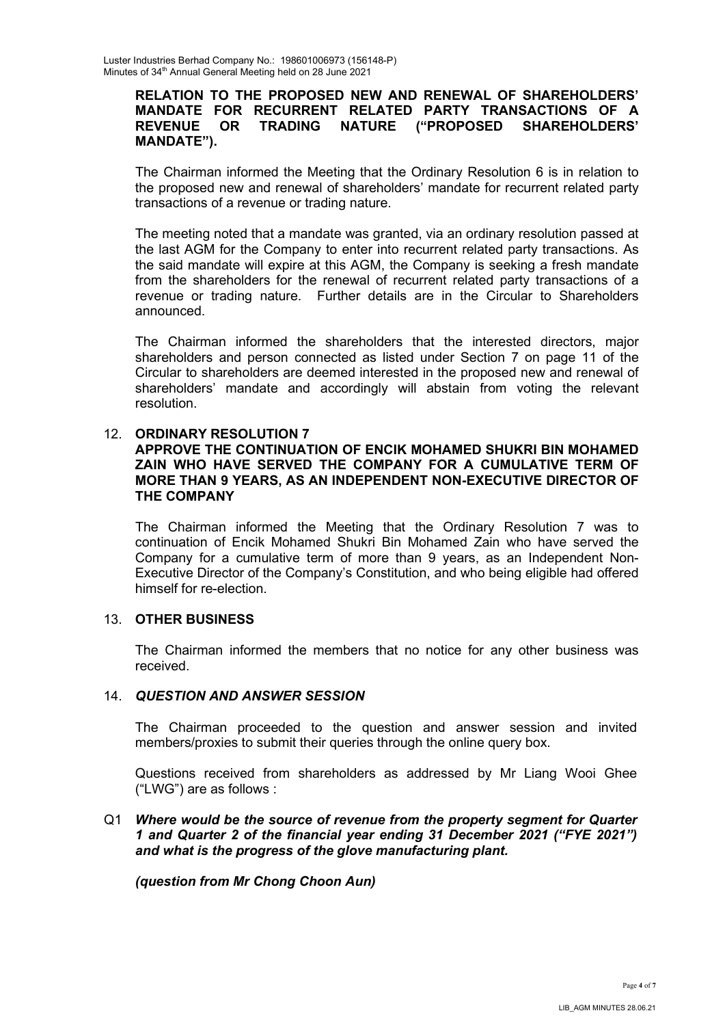### RELATION TO THE PROPOSED NEW AND RENEWAL OF SHAREHOLDERS' MANDATE FOR RECURRENT RELATED PARTY TRANSACTIONS OF A REVENUE OR TRADING NATURE ("PROPOSED SHAREHOLDERS' MANDATE").

 The Chairman informed the Meeting that the Ordinary Resolution 6 is in relation to the proposed new and renewal of shareholders' mandate for recurrent related party transactions of a revenue or trading nature.

The meeting noted that a mandate was granted, via an ordinary resolution passed at the last AGM for the Company to enter into recurrent related party transactions. As the said mandate will expire at this AGM, the Company is seeking a fresh mandate from the shareholders for the renewal of recurrent related party transactions of a revenue or trading nature. Further details are in the Circular to Shareholders announced.

The Chairman informed the shareholders that the interested directors, major shareholders and person connected as listed under Section 7 on page 11 of the Circular to shareholders are deemed interested in the proposed new and renewal of shareholders' mandate and accordingly will abstain from voting the relevant resolution.

### 12. ORDINARY RESOLUTION 7

### APPROVE THE CONTINUATION OF ENCIK MOHAMED SHUKRI BIN MOHAMED ZAIN WHO HAVE SERVED THE COMPANY FOR A CUMULATIVE TERM OF MORE THAN 9 YEARS, AS AN INDEPENDENT NON-EXECUTIVE DIRECTOR OF THE COMPANY

 The Chairman informed the Meeting that the Ordinary Resolution 7 was to continuation of Encik Mohamed Shukri Bin Mohamed Zain who have served the Company for a cumulative term of more than 9 years, as an Independent Non-Executive Director of the Company's Constitution, and who being eligible had offered himself for re-election.

### 13. OTHER BUSINESS

The Chairman informed the members that no notice for any other business was received.

# 14. QUESTION AND ANSWER SESSION

 The Chairman proceeded to the question and answer session and invited members/proxies to submit their queries through the online query box.

Questions received from shareholders as addressed by Mr Liang Wooi Ghee ("LWG") are as follows :

# Q1 Where would be the source of revenue from the property segment for Quarter 1 and Quarter 2 of the financial year ending 31 December 2021 ("FYE 2021") and what is the progress of the glove manufacturing plant.

(question from Mr Chong Choon Aun)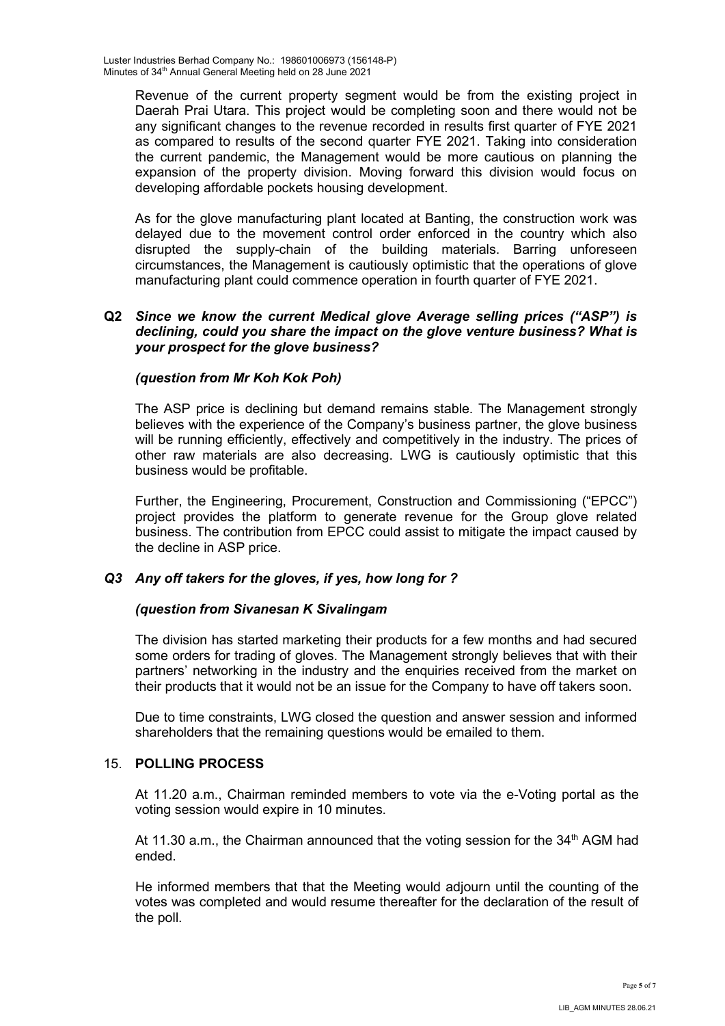Revenue of the current property segment would be from the existing project in Daerah Prai Utara. This project would be completing soon and there would not be any significant changes to the revenue recorded in results first quarter of FYE 2021 as compared to results of the second quarter FYE 2021. Taking into consideration the current pandemic, the Management would be more cautious on planning the expansion of the property division. Moving forward this division would focus on developing affordable pockets housing development.

As for the glove manufacturing plant located at Banting, the construction work was delayed due to the movement control order enforced in the country which also disrupted the supply-chain of the building materials. Barring unforeseen circumstances, the Management is cautiously optimistic that the operations of glove manufacturing plant could commence operation in fourth quarter of FYE 2021.

### Q2 Since we know the current Medical glove Average selling prices ("ASP") is declining, could you share the impact on the glove venture business? What is your prospect for the glove business?

### (question from Mr Koh Kok Poh)

The ASP price is declining but demand remains stable. The Management strongly believes with the experience of the Company's business partner, the glove business will be running efficiently, effectively and competitively in the industry. The prices of other raw materials are also decreasing. LWG is cautiously optimistic that this business would be profitable.

Further, the Engineering, Procurement, Construction and Commissioning ("EPCC") project provides the platform to generate revenue for the Group glove related business. The contribution from EPCC could assist to mitigate the impact caused by the decline in ASP price.

# Q3 Any off takers for the gloves, if yes, how long for ?

# (question from Sivanesan K Sivalingam

The division has started marketing their products for a few months and had secured some orders for trading of gloves. The Management strongly believes that with their partners' networking in the industry and the enquiries received from the market on their products that it would not be an issue for the Company to have off takers soon.

 Due to time constraints, LWG closed the question and answer session and informed shareholders that the remaining questions would be emailed to them.

#### 15. POLLING PROCESS

 At 11.20 a.m., Chairman reminded members to vote via the e-Voting portal as the voting session would expire in 10 minutes.

At 11.30 a.m., the Chairman announced that the voting session for the  $34<sup>th</sup>$  AGM had ended.

 He informed members that that the Meeting would adjourn until the counting of the votes was completed and would resume thereafter for the declaration of the result of the poll.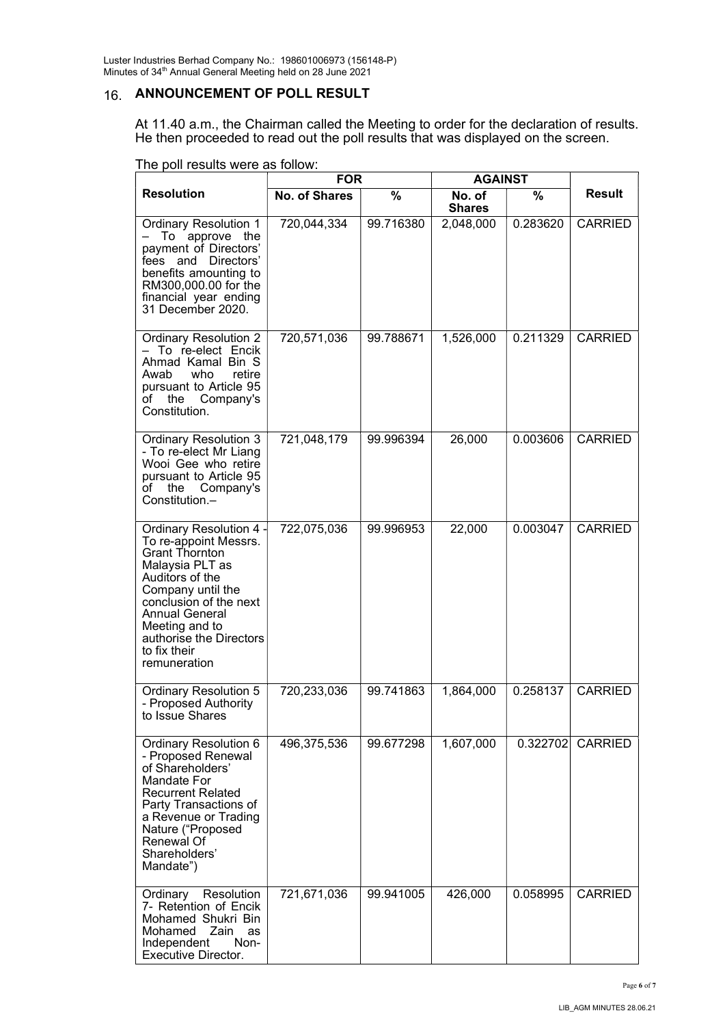Luster Industries Berhad Company No.: 198601006973 (156148-P) Minutes of 34th Annual General Meeting held on 28 June 2021

# 16. ANNOUNCEMENT OF POLL RESULT

At 11.40 a.m., the Chairman called the Meeting to order for the declaration of results. He then proceeded to read out the poll results that was displayed on the screen.

|                                                                                                                                                                                                                                                                      | <b>FOR</b>           |           | <b>AGAINST</b>          |          |                |
|----------------------------------------------------------------------------------------------------------------------------------------------------------------------------------------------------------------------------------------------------------------------|----------------------|-----------|-------------------------|----------|----------------|
| <b>Resolution</b>                                                                                                                                                                                                                                                    | <b>No. of Shares</b> | %         | No. of<br><b>Shares</b> | $\%$     | <b>Result</b>  |
| <b>Ordinary Resolution 1</b><br>To approve<br>the<br>payment of Directors'<br>fees and Directors'<br>benefits amounting to<br>RM300,000.00 for the<br>financial year ending<br>31 December 2020.                                                                     | 720,044,334          | 99.716380 | 2,048,000               | 0.283620 | <b>CARRIED</b> |
| <b>Ordinary Resolution 2</b><br>- To re-elect Encik<br>Ahmad Kamal Bin S<br>who<br>retire<br>Awab<br>pursuant to Article 95<br>of the Company's<br>Constitution.                                                                                                     | 720,571,036          | 99.788671 | 1,526,000               | 0.211329 | <b>CARRIED</b> |
| <b>Ordinary Resolution 3</b><br>- To re-elect Mr Liang<br>Wooi Gee who retire<br>pursuant to Article 95<br>the Company's<br>of<br>Constitution.-                                                                                                                     | 721,048,179          | 99.996394 | 26,000                  | 0.003606 | <b>CARRIED</b> |
| Ordinary Resolution 4 -<br>To re-appoint Messrs.<br><b>Grant Thornton</b><br>Malaysia PLT as<br>Auditors of the<br>Company until the<br>conclusion of the next<br><b>Annual General</b><br>Meeting and to<br>authorise the Directors<br>to fix their<br>remuneration | 722,075,036          | 99.996953 | 22,000                  | 0.003047 | <b>CARRIED</b> |
| <b>Ordinary Resolution 5</b><br>- Proposed Authority<br>to Issue Shares                                                                                                                                                                                              | 720,233,036          | 99.741863 | 1,864,000               | 0.258137 | <b>CARRIED</b> |
| Ordinary Resolution 6<br>- Proposed Renewal<br>of Shareholders'<br>Mandate For<br><b>Recurrent Related</b><br>Party Transactions of<br>a Revenue or Trading<br>Nature ("Proposed<br>Renewal Of<br>Shareholders'<br>Mandate")                                         | 496,375,536          | 99.677298 | 1,607,000               | 0.322702 | <b>CARRIED</b> |
| Ordinary Resolution<br>7- Retention of Encik<br>Mohamed Shukri Bin<br>Mohamed Zain<br>as<br>Independent<br>Non-<br><b>Executive Director.</b>                                                                                                                        | 721,671,036          | 99.941005 | 426,000                 | 0.058995 | <b>CARRIED</b> |

The poll results were as follow: